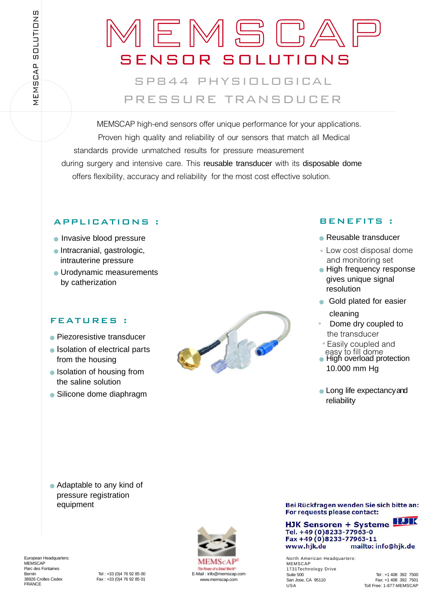# HIGH END SENSORSSENSOR SOLUTIONSEMSCA

## SP844 PHYSIOLOGICALPRESSURE TRANSDUCER

MEMSCAP high-end sensors offer unique performance for your applications. Proven high quality and reliability of our sensors that match all Medical standards provide unmatched results for pressure measurement during surgery and intensive care. This reusable transducer with its disposable dome offers flexibility, accuracy and reliability for the most cost effective solution.

### APPLICATIONS :

- Invasive blood pressure
- Intracranial, gastrologic, intrauterine pressure
- Urodynamic measurements by catherization

#### FEATURES :

- Piezoresistive transducer
- Isolation of electrical parts from the housing
- Isolation of housing from the saline solution
- Silicone dome diaphragm



#### BENEFITS :

- Reusable transducer
- Low cost disposal dome and monitoring set
- High frequency response gives unique signal resolution
- Gold plated for easier

cleaning

- Dome dry coupled to the transducer •
- Easily coupled and easy to fill dome
- High overload protection 10.000 mm Hg
- Long life expectancy and reliability

● Adaptable to any kind of pressure registration equipment



Bei Rückfragen wenden Sie sich bitte an: For requests please contact:

HJK Sensoren + Systeme Tel. +49 (0)8233-77963-0 Fax +49 (0)8233-77963-11 www.hjk.de mailto: info@hjk.de

North American Headquarters: MEMSCAP 1731Technology Drive Suite 500 Tel : +1 408 392 7500<br>
San Jose, CA 95110 Fax: +1 408 392 7501 USA Toll Free: 1-877-MEMSCAP

Fax: +1 408 392 7501

European Headquarters: **MEMSCAP** Parc des Fontaines<br>Bernin FRANCE

Bernin Tel : +33 (0)4 76 92 85 00<br>38926 Crolles Cedex Fax : +33 (0)4 76 92 85 01 Fax: +33 (0)4 76 92 85 01